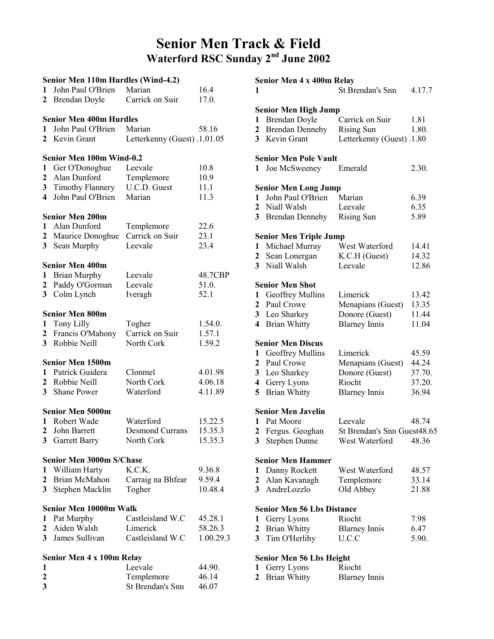## Senior Men Track & Field Waterford RSC Sunday 2nd June 2002

|                | Senior Men 110m Hurdles (Wind-4.2) |                              |           |
|----------------|------------------------------------|------------------------------|-----------|
| 1              | John Paul O'Brien                  | Marian                       | 16.4      |
| 2              | Brendan Doyle                      | Carrick on Suir              | 17.0.     |
|                |                                    |                              |           |
|                | <b>Senior Men 400m Hurdles</b>     |                              |           |
| 1              | John Paul O'Brien                  | Marian                       | 58.16     |
| 2              | Kevin Grant                        | Letterkenny (Guest) .1.01.05 |           |
|                |                                    |                              |           |
|                | <b>Senior Men 100m Wind-0.2</b>    |                              |           |
| 1              | Ger O'Donoghue                     | Leevale                      | 10.8      |
| 2              | Alan Dunford                       | Templemore                   | 10.9      |
|                | <b>3</b> Timothy Flannery          | U.C.D. Guest                 | 11.1      |
| 4              | John Paul O'Brien                  | Marian                       | 11.3      |
|                |                                    |                              |           |
|                | <b>Senior Men 200m</b>             |                              |           |
| 1              | Alan Dunford                       | Templemore                   | 22.6      |
| $\mathbf{2}$   | Maurice Donoghue                   | Carrick on Suir              | 23.1      |
| 3 <sup>7</sup> | Sean Murphy                        | Leevale                      | 23.4      |
|                |                                    |                              |           |
|                | <b>Senior Men 400m</b>             |                              |           |
| 1              | <b>Brian Murphy</b>                | Leevale                      | 48.7CBP   |
| 2              | Paddy O'Gorman                     | Leevale                      | 51.0.     |
| 3              | Colm Lynch                         | Iveragh                      | 52.1      |
|                |                                    |                              |           |
|                | <b>Senior Men 800m</b>             |                              |           |
| $\mathbf{1}$   | Tony Lilly                         | Togher                       | 1.54.0.   |
| $\mathbf{2}$   | Francis O'Mahony                   | Carrick on Suir              | 1.57.1    |
| 3 <sup>1</sup> | Robbie Neill                       | North Cork                   | 1.59.2    |
|                | <b>Senior Men 1500m</b>            |                              |           |
| 1              | Patrick Guidera                    | Clonmel                      | 4.01.98   |
|                | 2 Robbie Neill                     | North Cork                   | 4.06.18   |
| 3 <sup>1</sup> | <b>Shane Power</b>                 | Waterford                    | 4.11.89   |
|                |                                    |                              |           |
|                | <b>Senior Men 5000m</b>            |                              |           |
| 1              | Robert Wade                        | Waterford                    | 15.22.5   |
| 2              | John Barrett                       | <b>Desmond Currans</b>       | 15.35.3   |
| 3              | <b>Garrett Barry</b>               | North Cork                   | 15.35.3   |
|                |                                    |                              |           |
|                | <b>Senior Men 3000m S/Chase</b>    |                              |           |
| 1              | William Harty                      | K.C.K.                       | 9.36.8    |
| $\overline{2}$ | Brian McMahon                      | Carraig na Bhfear            | 9.59.4    |
| 3              | Stephen Macklin                    | Togher                       | 10.48.4   |
|                |                                    |                              |           |
|                | Senior Men 10000m Walk             |                              |           |
| 1              | Pat Murphy                         | Castleisland W.C             | 45.28.1   |
| $\mathbf{2}$   | Aiden Walsh                        | Limerick                     | 58.26.3   |
| 3              | James Sullivan                     | Castleisland W.C             | 1.00.29.3 |
|                |                                    |                              |           |
| 1              | Senior Men 4 x 100m Relay          | Leevale                      | 44.90.    |
| $\mathbf{2}$   |                                    | Templemore                   | 46.14     |
| 3              |                                    | St Brendan's Snn             | 46.07     |
|                |                                    |                              |           |

| 1                                                        | Senior Men 4 x 400m Relay                                                                                                   | <b>St Brendan's Snn</b>                                                           | 4.17.7                                      |
|----------------------------------------------------------|-----------------------------------------------------------------------------------------------------------------------------|-----------------------------------------------------------------------------------|---------------------------------------------|
| 1<br>$\mathbf{2}$<br>3 <sup>1</sup>                      | <b>Senior Men High Jump</b><br>Brendan Doyle<br><b>Brendan Dennehy</b><br>Kevin Grant                                       | Carrick on Suir<br><b>Rising Sun</b><br>Letterkenny (Guest) .1.80                 | 1.81<br>1.80.                               |
| 1                                                        | <b>Senior Men Pole Vault</b><br>Joe McSweeney                                                                               | Emerald                                                                           | 2.30.                                       |
| 1<br>$\overline{2}$<br>3                                 | <b>Senior Men Long Jump</b><br>John Paul O'Brien<br>Niall Walsh<br><b>Brendan Dennehy</b>                                   | Marian<br>Leevale<br><b>Rising Sun</b>                                            | 6.39<br>6.35<br>5.89                        |
| 1<br>$\overline{2}$<br>3                                 | <b>Senior Men Triple Jump</b><br>Michael Murray<br>Sean Lonergan<br>Niall Walsh                                             | West Waterford<br>K.C.H (Guest)<br>Leevale                                        | 14.41<br>14.32<br>12.86                     |
| 1<br>$\mathbf{2}$<br>3<br>4                              | <b>Senior Men Shot</b><br><b>Geoffrey Mullins</b><br>Paul Crowe<br>Leo Sharkey<br><b>Brian Whitty</b>                       | Limerick<br>Menapians (Guest)<br>Donore (Guest)<br><b>Blarney Innis</b>           | 13.42<br>13.35<br>11.44<br>11.04            |
| 1<br>$\overline{2}$<br>3<br>$\overline{\mathbf{4}}$<br>5 | <b>Senior Men Discus</b><br>Geoffrey Mullins<br>Paul Crowe<br>Leo Sharkey<br>Gerry Lyons<br><b>Brian Whitty</b>             | Limerick<br>Menapians (Guest)<br>Donore (Guest)<br>Riocht<br><b>Blarney Innis</b> | 45.59<br>44.24<br>37.70.<br>37.20.<br>36.94 |
| 3                                                        | <b>Senior Men Javelin</b><br>1 Pat Moore<br>2 Fergus. Geoghan<br>Stephen Dunne                                              | Leevale<br>St Brendan's Snn Guest48.65<br>West Waterford                          | 48.74<br>48.36                              |
| 1<br>2<br>3                                              | <b>Senior Men Hammer</b><br>Danny Rockett<br>Alan Kavanagh<br>AndreLozzlo                                                   | West Waterford<br>Templemore<br>Old Abbey                                         | 48.57<br>33.14<br>21.88                     |
| 1<br>2<br>3                                              | <b>Senior Men 56 Lbs Distance</b><br>Gerry Lyons<br><b>Brian Whitty</b><br>Tim O'Herlihy<br><b>Senior Men 56 Lbs Height</b> | Riocht<br><b>Blarney Innis</b><br>U.C.C                                           | 7.98<br>6.47<br>5.90.                       |
| 1<br>2                                                   | Gerry Lyons<br><b>Brian Whitty</b>                                                                                          | Riocht<br><b>Blarney Innis</b>                                                    |                                             |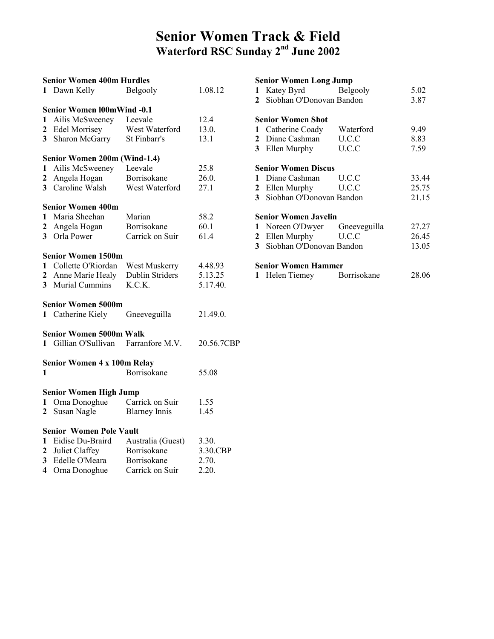## Senior Women Track & Field Waterford RSC Sunday 2nd June 2002

| <b>Senior Women 400m Hurdles</b> |                                      |                        |            |  |  |  |
|----------------------------------|--------------------------------------|------------------------|------------|--|--|--|
| 1                                | Dawn Kelly                           | Belgooly               | 1.08.12    |  |  |  |
|                                  |                                      |                        |            |  |  |  |
|                                  | <b>Senior Women 100mWind -0.1</b>    |                        |            |  |  |  |
| $\mathbf{1}$                     | Ailis McSweeney                      | Leevale                | 12.4       |  |  |  |
| $\mathbf{2}$                     | <b>Edel Morrisey</b>                 | West Waterford         | 13.0.      |  |  |  |
| 3 <sup>1</sup>                   | Sharon McGarry                       | St Finbarr's           | 13.1       |  |  |  |
|                                  | Senior Women 200m (Wind-1.4)         |                        |            |  |  |  |
| $\mathbf{1}$                     | Ailis McSweeney Leevale              |                        | 25.8       |  |  |  |
| $\mathbf{2}$                     | Angela Hogan                         | Borrisokane            | 26.0.      |  |  |  |
| 3 <sup>1</sup>                   | Caroline Walsh                       | West Waterford         | 27.1       |  |  |  |
|                                  |                                      |                        |            |  |  |  |
|                                  | <b>Senior Women 400m</b>             |                        |            |  |  |  |
| 1                                | Maria Sheehan                        | Marian                 | 58.2       |  |  |  |
| $\mathbf{2}$                     | Angela Hogan                         | Borrisokane            | 60.1       |  |  |  |
|                                  | 3 Orla Power                         | Carrick on Suir        | 61.4       |  |  |  |
|                                  |                                      |                        |            |  |  |  |
|                                  | Senior Women 1500m                   |                        |            |  |  |  |
|                                  | 1 Collette O'Riordan                 | West Muskerry          | 4.48.93    |  |  |  |
|                                  | 2 Anne Marie Healy                   | <b>Dublin Striders</b> | 5.13.25    |  |  |  |
| 3 <sup>1</sup>                   | Murial Cummins                       | K.C.K.                 | 5.17.40.   |  |  |  |
|                                  | Senior Women 5000m                   |                        |            |  |  |  |
|                                  | 1 Catherine Kiely                    | Gneeveguilla           | 21.49.0.   |  |  |  |
|                                  |                                      |                        |            |  |  |  |
|                                  | <b>Senior Women 5000m Walk</b>       |                        |            |  |  |  |
|                                  | 1 Gillian O'Sullivan Farranfore M.V. |                        | 20.56.7CBP |  |  |  |
|                                  |                                      |                        |            |  |  |  |
|                                  | <b>Senior Women 4 x 100m Relay</b>   |                        |            |  |  |  |
| 1                                |                                      | Borrisokane            | 55.08      |  |  |  |
|                                  | <b>Senior Women High Jump</b>        |                        |            |  |  |  |
| 1                                | Orna Donoghue                        | Carrick on Suir        | 1.55       |  |  |  |
| $\mathbf{2}^-$                   | Susan Nagle                          | <b>Blarney Innis</b>   | 1.45       |  |  |  |
|                                  |                                      |                        |            |  |  |  |
|                                  | <b>Senior Women Pole Vault</b>       |                        |            |  |  |  |
| $\mathbf{1}$                     | Eidise Du-Braird                     | Australia (Guest)      | 3.30.      |  |  |  |
| $\mathbf{2}$                     | Juliet Claffey                       | Borrisokane            | 3.30.CBP   |  |  |  |
| $\overline{\mathbf{3}}$          | Edelle O'Meara                       | Borrisokane            | 2.70.      |  |  |  |
| 4                                | Orna Donoghue                        | Carrick on Suir        | 2.20.      |  |  |  |
|                                  |                                      |                        |            |  |  |  |

### Senior Women Long Jump

| $\mathbf 1$  | Katey Byrd Belgooly         |       | 5.02  |
|--------------|-----------------------------|-------|-------|
|              | 2 Siobhan O'Donovan Bandon  |       | 3.87  |
|              | <b>Senior Women Shot</b>    |       |       |
|              |                             |       |       |
| 1            | Catherine Coady Waterford   |       | 9.49  |
|              | 2 Diane Cashman U.C.C       |       | 8.83  |
|              | 3 Ellen Murphy              | U.C.C | 7.59  |
|              | <b>Senior Women Discus</b>  |       |       |
| $\mathbf{1}$ | Diane Cashman U.C.C         |       | 33.44 |
|              | 2 Ellen Murphy U.C.C        |       | 25.75 |
|              | 3 Siobhan O'Donovan Bandon  |       | 21.15 |
|              | <b>Senior Women Javelin</b> |       |       |
| 1            | Noreen O'Dwyer Gneeveguilla |       | 27.27 |
|              | 2 Ellen Murphy U.C.C        |       | 26.45 |
|              | 3 Siobhan O'Donovan Bandon  |       | 13.05 |
|              | <b>Senior Women Hammer</b>  |       |       |
|              | 1 Helen Tiemey Borrisokane  |       | 28.06 |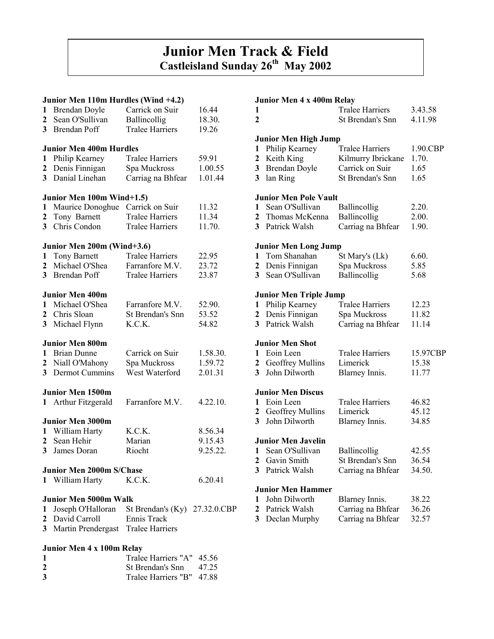## Junior Men Track & Field Castleisland Sunday 26<sup>th</sup> May 2002

#### Junior Men 110m Hurdles (Wind +4.2)

|                         |                                                 | $MCH$ 110 $H$ 1101 $CSP$ ( <i>WHIG</i> $\rightarrow$ $\sim$ $\sim$ |          |
|-------------------------|-------------------------------------------------|--------------------------------------------------------------------|----------|
| 1                       | Brendan Doyle                                   | Carrick on Suir                                                    | 16.44    |
| $\mathbf{2}$            | Sean O'Sullivan                                 | Ballincollig                                                       | 18.30.   |
|                         |                                                 |                                                                    |          |
| 3 <sup>1</sup>          | Brendan Poff                                    | <b>Tralee Harriers</b>                                             | 19.26    |
|                         | <b>Junior Men 400m Hurdles</b>                  |                                                                    |          |
| $\mathbf{1}$            | Philip Kearney                                  | <b>Tralee Harriers</b>                                             | 59.91    |
|                         |                                                 |                                                                    |          |
| $\mathbf{2}$            | Denis Finnigan                                  | Spa Muckross                                                       | 1.00.55  |
| 3 <sup>1</sup>          | Danial Linehan                                  | Carriag na Bhfear                                                  | 1.01.44  |
|                         | Junior Men 100m Wind+1.5)                       |                                                                    |          |
| $\mathbf{1}$            | Maurice Donoghue Carrick on Suir                |                                                                    | 11.32    |
| $\mathbf{2}$            | Tony Barnett                                    | <b>Tralee Harriers</b>                                             | 11.34    |
|                         |                                                 |                                                                    |          |
| $\overline{3}$          | Chris Condon                                    | <b>Tralee Harriers</b>                                             | 11.70.   |
|                         | Junior Men 200m (Wind+3.6)                      |                                                                    |          |
|                         | 1 Tony Barnett                                  | <b>Tralee Harriers</b>                                             | 22.95    |
| $\mathbf{2}$            | Michael O'Shea                                  | Farranfore M.V.                                                    | 23.72    |
| 3 <sup>1</sup>          | Brendan Poff                                    |                                                                    |          |
|                         |                                                 | <b>Tralee Harriers</b>                                             | 23.87    |
|                         | <b>Junior Men 400m</b>                          |                                                                    |          |
|                         | 1 Michael O'Shea                                | Farranfore M.V.                                                    | 52.90.   |
| $\overline{2}$          | Chris Sloan                                     | St Brendan's Snn                                                   | 53.52    |
|                         |                                                 |                                                                    |          |
| $\overline{\mathbf{3}}$ | Michael Flynn                                   | K.C.K.                                                             | 54.82    |
|                         | <b>Junior Men 800m</b>                          |                                                                    |          |
|                         | 1 Brian Dunne                                   | Carrick on Suir                                                    | 1.58.30. |
|                         | 2 Niall O'Mahony                                | Spa Muckross                                                       | 1.59.72  |
| 3 <sup>1</sup>          | <b>Dermot Cummins</b>                           | West Waterford                                                     |          |
|                         |                                                 |                                                                    | 2.01.31  |
|                         | <b>Junior Men 1500m</b>                         |                                                                    |          |
| 1                       | Arthur Fitzgerald                               | Farranfore M.V.                                                    | 4.22.10. |
|                         |                                                 |                                                                    |          |
|                         | <b>Junior Men 3000m</b>                         |                                                                    |          |
| 1                       | William Harty                                   | K.C.K.                                                             | 8.56.34  |
| 2                       | Sean Hehir                                      | Marian                                                             | 9.15.43  |
| $\overline{\mathbf{3}}$ | James Doran                                     | Riocht                                                             | 9.25.22. |
|                         |                                                 |                                                                    |          |
|                         | <b>Junior Men 2000m S/Chase</b>                 |                                                                    |          |
| 1                       | William Harty                                   | K.C.K.                                                             | 6.20.41  |
|                         | <b>Junior Men 5000m Walk</b>                    |                                                                    |          |
|                         |                                                 |                                                                    |          |
| 1                       | Joseph O'Halloran St Brendan's (Ky) 27.32.0.CBP |                                                                    |          |
| $\mathbf{2}$            | David Carroll                                   | Ennis Track                                                        |          |
| 3                       | Martin Prendergast Tralee Harriers              |                                                                    |          |
|                         |                                                 |                                                                    |          |

#### Junior Men 4 x 100m Relay

| 1            | Tralee Harriers "A" 45.56 |  |
|--------------|---------------------------|--|
| $\mathbf{2}$ | St Brendan's Snn $47.25$  |  |
| 3            | Tralee Harriers "B" 47.88 |  |

#### Junior Men 4 x 400m Relay

| 1                       | <b>IVIUM TA TUUM IWIRY</b>    | <b>Tralee Harriers</b>  | 3.43.58  |
|-------------------------|-------------------------------|-------------------------|----------|
| $\overline{2}$          |                               | St Brendan's Snn        | 4.11.98  |
|                         |                               |                         |          |
|                         | <b>Junior Men High Jump</b>   |                         |          |
| 1                       | Philip Kearney                | <b>Tralee Harriers</b>  | 1.90.CBP |
| $\mathbf{2}$            | Keith King                    | Kilmurry Ibrickane      | 1.70.    |
| $\overline{\mathbf{3}}$ |                               | Carrick on Suir         | 1.65     |
| $\overline{\mathbf{3}}$ | Brendan Doyle                 |                         |          |
|                         | lan Ring                      | <b>St Brendan's Snn</b> | 1.65     |
|                         | <b>Junior Men Pole Vault</b>  |                         |          |
| $\mathbf{1}$            | Sean O'Sullivan               | Ballincollig            | 2.20.    |
| $\overline{2}$          | Thomas McKenna                | Ballincollig            | 2.00.    |
|                         | 3 Patrick Walsh               | Carriag na Bhfear       | 1.90.    |
|                         |                               |                         |          |
|                         | <b>Junior Men Long Jump</b>   |                         |          |
| 1                       | Tom Shanahan                  | St Mary's (Lk)          | 6.60.    |
| $\overline{2}$          | Denis Finnigan                | Spa Muckross            | 5.85     |
| $\overline{\mathbf{3}}$ | Sean O'Sullivan               | Ballincollig            | 5.68     |
|                         |                               |                         |          |
|                         | <b>Junior Men Triple Jump</b> |                         |          |
| 1                       | Philip Kearney                | <b>Tralee Harriers</b>  | 12.23    |
| $\overline{\mathbf{2}}$ | Denis Finnigan                | Spa Muckross            | 11.82    |
| 3 <sup>1</sup>          | Patrick Walsh                 | Carriag na Bhfear       | 11.14    |
|                         | <b>Junior Men Shot</b>        |                         |          |
| $\mathbf{1}$            | Eoin Leen                     | <b>Tralee Harriers</b>  | 15.97CBP |
|                         | 2 Geoffrey Mullins            | Limerick                | 15.38    |
| 3 <sup>1</sup>          | John Dilworth                 | Blarney Innis.          | 11.77    |
|                         |                               |                         |          |
|                         | <b>Junior Men Discus</b>      |                         |          |
| 1                       | Eoin Leen                     | <b>Tralee Harriers</b>  | 46.82    |
| $\overline{2}$          | Geoffrey Mullins              | Limerick                | 45.12    |
| 3                       | John Dilworth                 | Blarney Innis.          | 34.85    |
|                         |                               |                         |          |
|                         | <b>Junior Men Javelin</b>     |                         |          |
| 1                       | Sean O'Sullivan               | Ballincollig            | 42.55    |
| $\overline{2}$          | Gavin Smith                   | St Brendan's Snn        | 36.54    |
| 3 <sup>1</sup>          | Patrick Walsh                 | Carriag na Bhfear       | 34.50.   |
|                         |                               |                         |          |
|                         | <b>Junior Men Hammer</b>      |                         |          |
| $\mathbf{1}$            | John Dilworth                 | Blarney Innis.          | 38.22    |
| $\overline{c}$          | Patrick Walsh                 | Carriag na Bhfear       | 36.26    |
| 3                       | Declan Murphy                 | Carriag na Bhfear       | 32.57    |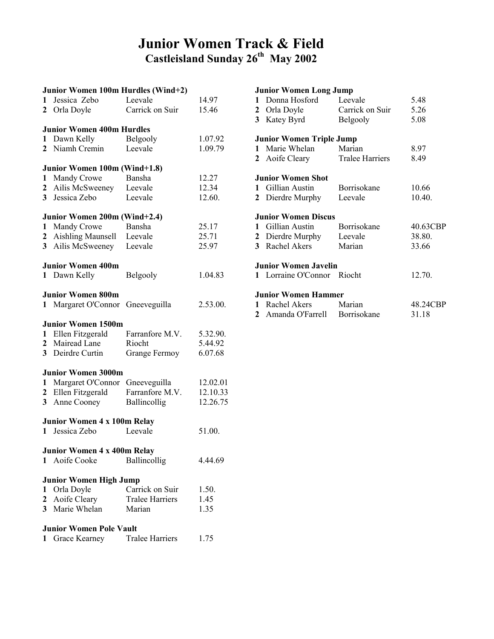## Junior Women Track & Field Castleisland Sunday 26<sup>th</sup> May 2002

|                | Junior Women 100m Hurdles (Wind+2) |                        |          |
|----------------|------------------------------------|------------------------|----------|
| 1              | Jessica Zebo                       | Leevale                | 14.97    |
|                | 2 Orla Doyle                       | Carrick on Suir        | 15.46    |
|                | <b>Junior Women 400m Hurdles</b>   |                        |          |
| 1              | Dawn Kelly                         | Belgooly               | 1.07.92  |
| 2              | Niamh Cremin                       | Leevale                | 1.09.79  |
|                | Junior Women 100m (Wind+1.8)       |                        |          |
| 1              | Mandy Crowe                        | Bansha                 | 12.27    |
| $\mathbf{2}$   | Ailis McSweeney Leevale            |                        | 12.34    |
| 3 <sup>1</sup> | Jessica Zebo                       | Leevale                | 12.60.   |
|                | Junior Women 200m (Wind+2.4)       |                        |          |
| 1              | Mandy Crowe                        | Bansha                 | 25.17    |
| $\mathbf{2}$   | Aishling Maunsell Leevale          |                        | 25.71    |
| 3 <sup>1</sup> | Ailis McSweeney Leevale            |                        | 25.97    |
|                | <b>Junior Women 400m</b>           |                        |          |
| $\mathbf{1}$   | Dawn Kelly                         | Belgooly               | 1.04.83  |
|                | <b>Junior Women 800m</b>           |                        |          |
| $\mathbf{1}$   | Margaret O'Connor Gneeveguilla     |                        | 2.53.00. |
|                | <b>Junior Women 1500m</b>          |                        |          |
| $\mathbf{1}$   | Ellen Fitzgerald                   | Farranfore M.V.        | 5.32.90. |
|                | 2 Mairead Lane                     | Riocht                 | 5.44.92  |
|                | 3 Deirdre Curtin                   | <b>Grange Fermoy</b>   | 6.07.68  |
|                | <b>Junior Women 3000m</b>          |                        |          |
| $\mathbf{1}$   | Margaret O'Connor Gneeveguilla     |                        | 12.02.01 |
| $\mathbf{2}$   | Ellen Fitzgerald                   | Farranfore M.V.        | 12.10.33 |
| 3 <sup>1</sup> | Anne Cooney                        | Ballincollig           | 12.26.75 |
|                | <b>Junior Women 4 x 100m Relay</b> |                        |          |
| $\mathbf{1}$   | Jessica Zebo                       | Leevale                | 51.00.   |
|                | Junior Women 4 x 400m Relay        |                        |          |
|                | 1 Aoife Cooke                      | Ballincollig           | 4.44.69  |
|                | <b>Junior Women High Jump</b>      |                        |          |
|                | 1 Orla Doyle                       | Carrick on Suir        | 1.50.    |
|                | 2 Aoife Cleary                     | <b>Tralee Harriers</b> | 1.45     |
|                | 3 Marie Whelan                     | Marian                 | 1.35     |
|                | <b>Junior Women Pole Vault</b>     |                        |          |
| $\mathbf{1}$   | Grace Kearney Tralee Harriers      |                        | 1.75     |

| <b>Junior Women Long Jump</b>   |                 |          |
|---------------------------------|-----------------|----------|
| 1 Donna Hosford Leevale         |                 | 5.48     |
| 2 Orla Doyle                    | Carrick on Suir | 5.26     |
| 3 Katey Byrd                    | Belgooly        | 5.08     |
| <b>Junior Women Triple Jump</b> |                 |          |
| 1 Marie Whelan                  | Marian          | 8.97     |
| 2 Aoife Cleary                  | Tralee Harriers | 8.49     |
| <b>Junior Women Shot</b>        |                 |          |
| 1 Gillian Austin                | Borrisokane     | 10.66    |
| 2 Dierdre Murphy Leevale        |                 | 10.40.   |
| <b>Junior Women Discus</b>      |                 |          |
| 1 Gillian Austin                | Borrisokane     | 40.63CBP |
| 2 Dierdre Murphy Leevale        |                 | 38.80.   |
| 3 Rachel Akers                  | Marian          | 33.66    |
| <b>Junior Women Javelin</b>     |                 |          |
| 1 Lorraine O'Connor Riocht      |                 | 12.70.   |
| <b>Junior Women Hammer</b>      |                 |          |
| 1 Rachel Akers Marian           |                 | 48.24CBP |
| 2 Amanda O'Farrell Borrisokane  |                 | 31.18    |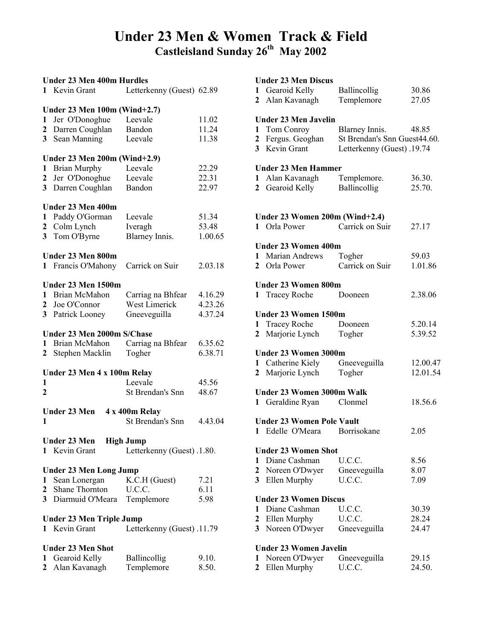## Under 23 Men & Women Track & Field Castleisland Sunday 26<sup>th</sup> May 2002

| Under 23 Men 400m Hurdles |                                 |                            |         |
|---------------------------|---------------------------------|----------------------------|---------|
|                           | 1 Kevin Grant                   | Letterkenny (Guest) 62.89  |         |
|                           | Under 23 Men 100m (Wind+2.7)    |                            |         |
| $\mathbf{1}$              | Jer O'Donoghue                  | Leevale                    | 11.02   |
| $\mathbf{2}^-$            | Darren Coughlan                 | Bandon                     | 11.24   |
| 3                         | Sean Manning                    | Leevale                    | 11.38   |
|                           | Under 23 Men 200m (Wind+2.9)    |                            |         |
| 1                         | <b>Brian Murphy</b>             | Leevale                    | 22.29   |
| 2                         | Jer O'Donoghue                  | Leevale                    | 22.31   |
| 3                         | Darren Coughlan                 | Bandon                     | 22.97   |
|                           | Under 23 Men 400m               |                            |         |
| 1                         | Paddy O'Gorman                  | Leevale                    | 51.34   |
| $\mathbf{2}$              | Colm Lynch                      | Iveragh                    | 53.48   |
| 3                         | Tom O'Byrne                     | Blarney Innis.             | 1.00.65 |
|                           | Under 23 Men 800m               |                            |         |
| 1                         | Francis O'Mahony                | Carrick on Suir            | 2.03.18 |
|                           | Under 23 Men 1500m              |                            |         |
| 1                         | Brian McMahon                   | Carriag na Bhfear          | 4.16.29 |
| 2                         | Joe O'Connor                    | West Limerick              | 4.23.26 |
| 3                         | Patrick Looney                  | Gneeveguilla               | 4.37.24 |
|                           | Under 23 Men 2000m S/Chase      |                            |         |
| 1                         | Brian McMahon                   | Carriag na Bhfear          | 6.35.62 |
|                           | 2 Stephen Macklin               | Togher                     | 6.38.71 |
|                           | Under 23 Men 4 x 100m Relay     |                            |         |
| 1                         |                                 | Leevale                    | 45.56   |
| 2                         |                                 | <b>St Brendan's Snn</b>    | 48.67   |
|                           | <b>Under 23 Men</b>             | 4 x 400m Relay             |         |
| 1                         |                                 | <b>St Brendan's Snn</b>    | 4.43.04 |
|                           | Under 23 Men High Jump          |                            |         |
| $\mathbf{1}$              | Kevin Grant                     | Letterkenny (Guest) .1.80. |         |
|                           | <b>Under 23 Men Long Jump</b>   |                            |         |
| 1                         | Sean Lonergan                   | K.C.H (Guest)              | 7.21    |
|                           | 2 Shane Thornton                | U.C.C.                     | 6.11    |
| 3                         | Diarmuid O'Meara                | Templemore                 | 5.98    |
|                           | <b>Under 23 Men Triple Jump</b> |                            |         |
|                           | 1 Kevin Grant                   | Letterkenny (Guest) .11.79 |         |
|                           | <b>Under 23 Men Shot</b>        |                            |         |
| 1                         | Gearoid Kelly                   | Ballincollig               | 9.10.   |
| $\mathbf{2}$              | Alan Kavanagh                   | Templemore                 | 8.50.   |

#### Under 23 Men Discus

| 1<br>$\mathbf{2}$ | Gearoid Kelly<br>Alan Kavanagh   | Ballincollig<br>Templemore                     | 30.86<br>27.05 |
|-------------------|----------------------------------|------------------------------------------------|----------------|
|                   | <b>Under 23 Men Javelin</b>      |                                                |                |
| 1                 |                                  |                                                | 48.85          |
|                   | Tom Conroy<br>Fergus. Geoghan    | Blarney Innis.<br>St Brendan's Snn Guest44.60. |                |
| $\mathbf{2}$      | 3 Kevin Grant                    |                                                |                |
|                   |                                  | Letterkenny (Guest) .19.74                     |                |
|                   | <b>Under 23 Men Hammer</b>       |                                                |                |
| 1                 | Alan Kavanagh                    | Templemore.                                    | 36.30.         |
| $\mathbf{2}$      | Gearoid Kelly                    | Ballincollig                                   | 25.70.         |
|                   |                                  |                                                |                |
|                   | Under 23 Women 200m (Wind+2.4)   |                                                |                |
|                   | 1 Orla Power                     | Carrick on Suir                                | 27.17          |
|                   | <b>Under 23 Women 400m</b>       |                                                |                |
|                   | 1 Marian Andrews                 | Togher                                         | 59.03          |
|                   | 2 Orla Power                     | Carrick on Suir                                | 1.01.86        |
|                   | <b>Under 23 Women 800m</b>       |                                                |                |
|                   | 1 Tracey Roche                   | Dooneen                                        | 2.38.06        |
|                   | Under 23 Women 1500m             |                                                |                |
| $\mathbf{1}$      | Tracey Roche                     | Dooneen                                        | 5.20.14        |
| $\mathbf{2}$      | Marjorie Lynch                   | Togher                                         | 5.39.52        |
|                   | Under 23 Women 3000m             |                                                |                |
|                   | 1 Catherine Kiely Gneeveguilla   |                                                | 12.00.47       |
| $\mathbf{2}$      | Marjorie Lynch                   | Togher                                         | 12.01.54       |
|                   | <b>Under 23 Women 3000m Walk</b> |                                                |                |
|                   | 1 Geraldine Ryan Clonmel         |                                                | 18.56.6        |
|                   | <b>Under 23 Women Pole Vault</b> |                                                |                |
|                   | 1 Edelle O'Meara Borrisokane     |                                                | 2.05           |
|                   |                                  |                                                |                |
|                   | <b>Under 23 Women Shot</b>       |                                                |                |
| 1                 | Diane Cashman                    | U.C.C.                                         | 8.56           |
| $\mathbf{2}$      | Noreen O'Dwyer                   | Gneeveguilla                                   | 8.07           |
| 3                 | Ellen Murphy                     | U.C.C.                                         | 7.09           |
|                   | <b>Under 23 Women Discus</b>     |                                                |                |
| 1                 | Diane Cashman                    | U.C.C.                                         | 30.39          |
| $\mathbf{2}$      | Ellen Murphy                     | U.C.C.                                         | 28.24          |
| 3                 | Noreen O'Dwyer                   | Gneeveguilla                                   | 24.47          |
|                   | <b>Under 23 Women Javelin</b>    |                                                |                |
| 1                 | Noreen O'Dwyer                   | Gneeveguilla                                   | 29.15          |
| $\mathbf{2}$      | Ellen Murphy                     | U.C.C.                                         | 24.50.         |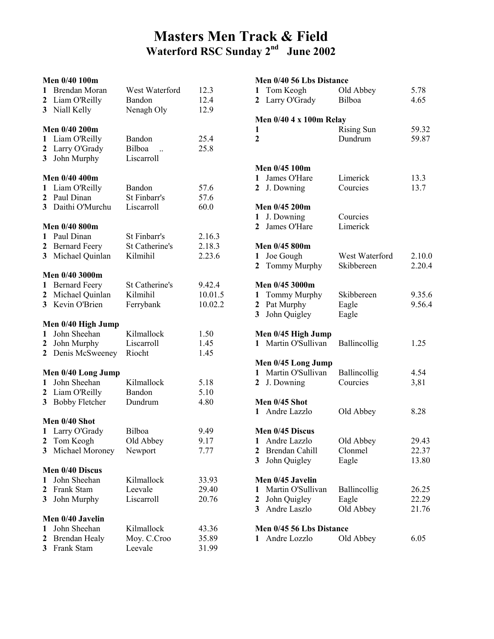## Masters Men Track & Field Waterford RSC Sunday 2<sup>nd</sup> June 2002

|                         | Men 0/40 100m                      |                            |                   |
|-------------------------|------------------------------------|----------------------------|-------------------|
| 1                       | Brendan Moran                      | West Waterford             | 12.3              |
| $\mathbf{2}$            | Liam O'Reilly                      | Bandon                     | 12.4              |
| 3                       | Niall Kelly                        | Nenagh Oly                 | 12.9              |
|                         |                                    |                            |                   |
|                         | Men 0/40 200m                      |                            |                   |
| 1                       | Liam O'Reilly                      | Bandon<br>Bilboa           | 25.4              |
| $\boldsymbol{2}$<br>3   | Larry O'Grady                      | Liscarroll                 | 25.8              |
|                         | John Murphy                        |                            |                   |
|                         | Men 0/40 400m                      |                            |                   |
| 1                       | Liam O'Reilly                      | Bandon                     | 57.6              |
| $\mathbf{2}$            | Paul Dinan                         | St Finbarr's               | 57.6              |
| 3 <sup>1</sup>          | Daithi O'Murchu                    | Liscarroll                 | 60.0              |
|                         | Men 0/40 800m                      |                            |                   |
| 1                       | Paul Dinan                         | St Finbarr's               | 2.16.3            |
| $\mathbf{2}$            | <b>Bernard Feery</b>               | St Catherine's             | 2.18.3            |
| $\overline{\mathbf{3}}$ | Michael Quinlan                    | Kilmihil                   | 2.23.6            |
|                         |                                    |                            |                   |
|                         | Men 0/40 3000m                     |                            |                   |
| 1<br>$\mathbf{2}$       | <b>Bernard Feery</b>               | St Catherine's<br>Kilmihil | 9.42.4<br>10.01.5 |
| 3 <sup>1</sup>          | Michael Quinlan<br>Kevin O'Brien   | Ferrybank                  | 10.02.2           |
|                         |                                    |                            |                   |
|                         | Men 0/40 High Jump                 |                            |                   |
| 1                       | John Sheehan                       | Kilmallock                 | 1.50              |
| $\mathbf{2}$            | John Murphy                        | Liscarroll                 | 1.45              |
| $\mathbf{2}$            | Denis McSweeney                    | Riocht                     | 1.45              |
|                         |                                    |                            |                   |
|                         |                                    |                            |                   |
| $\mathbf{1}$            | Men 0/40 Long Jump<br>John Sheehan | Kilmallock                 |                   |
| $\mathbf{2}$            | Liam O'Reilly                      | Bandon                     | 5.18<br>5.10      |
| 3                       | <b>Bobby Fletcher</b>              | Dundrum                    | 4.80              |
|                         |                                    |                            |                   |
|                         | Men 0/40 Shot                      |                            |                   |
| 1                       | Larry O'Grady                      | Bilboa                     | 9.49              |
| 2                       | Tom Keogh                          | Old Abbey                  | 9.17              |
| $\overline{\mathbf{3}}$ | Michael Moroney                    | Newport                    | 7.77              |
|                         | Men 0/40 Discus                    |                            |                   |
| 1                       | John Sheehan                       | Kilmallock                 | 33.93             |
| $\overline{2}$          | Frank Stam                         | Leevale                    | 29.40             |
| 3                       | John Murphy                        | Liscarroll                 | 20.76             |
|                         | Men 0/40 Javelin                   |                            |                   |
| 1                       | John Sheehan                       | Kilmallock                 | 43.36             |
| $\overline{2}$          | <b>Brendan Healy</b>               | Moy. C.Croo                | 35.89             |

|                | Men 0/40 56 Lbs Distance  |                   |        |
|----------------|---------------------------|-------------------|--------|
| 1              | Tom Keogh                 | Old Abbey         | 5.78   |
| $\mathbf{2}$   | Larry O'Grady             | Bilboa            | 4.65   |
|                |                           |                   |        |
|                | Men $0/40$ 4 x 100m Relay |                   |        |
| 1              |                           | <b>Rising Sun</b> | 59.32  |
| $\overline{2}$ |                           | Dundrum           | 59.87  |
|                |                           |                   |        |
|                | Men 0/45 100m             |                   |        |
| $\mathbf{1}$   | James O'Hare              | Limerick          | 13.3   |
|                |                           | Courcies          |        |
|                | 2 J. Downing              |                   | 13.7   |
|                | Men 0/45 200m             |                   |        |
| $\mathbf{1}$   | J. Downing                | Courcies          |        |
| $\mathbf{2}$   | James O'Hare              | Limerick          |        |
|                |                           |                   |        |
|                | Men 0/45 800m             |                   |        |
| 1              | Joe Gough                 | West Waterford    | 2.10.0 |
| $\mathbf{2}$   | Tommy Murphy              | Skibbereen        | 2.20.4 |
|                |                           |                   |        |
|                | Men 0/45 3000m            |                   |        |
|                | 1 Tommy Murphy            | Skibbereen        | 9.35.6 |
| $\mathbf{2}$   | Pat Murphy                | Eagle             | 9.56.4 |
| 3 <sup>1</sup> | John Quigley              | Eagle             |        |
|                |                           |                   |        |
|                | Men 0/45 High Jump        |                   |        |
|                | 1 Martin O'Sullivan       | Ballincollig      | 1.25   |
|                |                           |                   |        |
|                | Men 0/45 Long Jump        |                   |        |
|                | 1 Martin O'Sullivan       | Ballincollig      | 4.54   |
| $\mathbf{2}$   | J. Downing                | Courcies          | 3,81   |
|                | Men 0/45 Shot             |                   |        |
|                | 1 Andre Lazzlo            |                   | 8.28   |
|                |                           | Old Abbey         |        |
|                | Men 0/45 Discus           |                   |        |
| $\mathbf{1}$   | Andre Lazzlo              | Old Abbey         | 29.43  |
| $\mathbf{2}$   | Brendan Cahill            | Clonmel           | 22.37  |
| 3              | John Quigley              | Eagle             | 13.80  |
|                |                           |                   |        |
|                | Men 0/45 Javelin          |                   |        |
| 1              | Martin O'Sullivan         | Ballincollig      | 26.25  |
| $\mathbf{2}$   | John Quigley              | Eagle             | 22.29  |
| 3 <sup>1</sup> | Andre Laszlo              | Old Abbey         | 21.76  |
|                |                           |                   |        |
|                | Men 0/45 56 Lbs Distance  |                   |        |
| $\mathbf{1}$   | Andre Lozzlo              | Old Abbey         | 6.05   |
|                |                           |                   |        |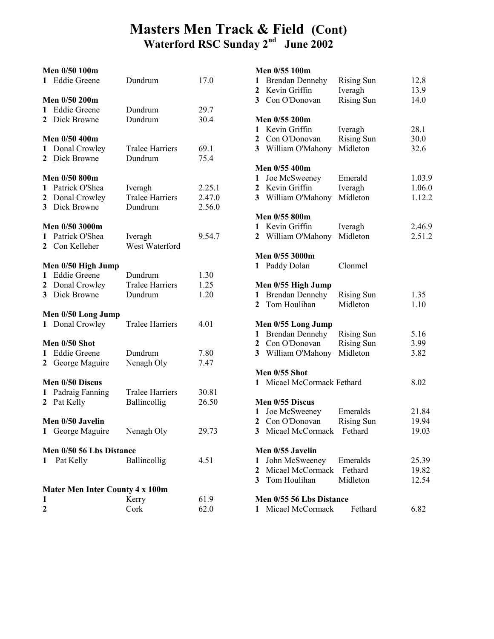## Masters Men Track & Field (Cont) Waterford RSC Sunday 2<sup>nd</sup> June 2002

### Men 0/50 100m 1 Eddie Greene Dundrum 17.0 Men 0/50 200m 1 Eddie Greene Dundrum 29.7 2 Dick Browne Dundrum 30.4 Men 0/50 400m 1 Donal Crowley Tralee Harriers 69.1 2 Dick Browne Dundrum 75.4 Men 0/50 800m 1 Patrick O'Shea Iveragh 2.25.1<br>
2 Donal Crowley Tralee Harriers 2.47.0 2 Donal Crowley Tralee Harriers 2.47.0 3 Dick Browne Dundrum 2.56.0 Men 0/50 3000m 1 Patrick O'Shea Iveragh 9.54.7<br>2 Con Kelleher West Waterford 2 Con Kelleher Men 0/50 High Jump 1 Eddie Greene Dundrum 1.30 2 Donal Crowley Tralee Harriers 1.25 3 Dick Browne Dundrum 1.20 Men 0/50 Long Jump 1 Donal Crowley Tralee Harriers 4.01 Men 0/50 Shot 1 Eddie Greene Dundrum 7.80 2 George Maguire Nenagh Oly 7.47 Men 0/50 Discus 1 Padraig Fanning Tralee Harriers 30.81 2 Pat Kelly Ballincollig 26.50 Men 0/50 Javelin 1 George Maguire Nenagh Oly 29.73 Men 0/50 56 Lbs Distance 1 Pat Kelly Ballincollig 4.51 Mater Men Inter County 4 x 100m 1 Kerry 61.9

2 Cork 62.0

#### Men 0/55 100m

|                | и <b>ц</b> и огоо тоош   |                   |        |
|----------------|--------------------------|-------------------|--------|
| $\mathbf{1}$   | <b>Brendan Dennehy</b>   | <b>Rising Sun</b> | 12.8   |
| $\mathbf{2}$   | Kevin Griffin            |                   |        |
|                |                          | Iveragh           | 13.9   |
|                | 3 Con O'Donovan          | <b>Rising Sun</b> | 14.0   |
|                |                          |                   |        |
|                | Men 0/55 200m            |                   |        |
| $\mathbf{1}$   | Kevin Griffin            | Iveragh           | 28.1   |
|                | 2 Con O'Donovan          | <b>Rising Sun</b> | 30.0   |
|                |                          |                   |        |
|                | 3 William O'Mahony       | Midleton          | 32.6   |
|                |                          |                   |        |
|                | Men 0/55 400m            |                   |        |
| $\mathbf{1}$   | Joe McSweeney            | Emerald           | 1.03.9 |
| $\mathbf{2}$   | Kevin Griffin            | Iveragh           | 1.06.0 |
| 3 <sup>1</sup> | William O'Mahony         | Midleton          | 1.12.2 |
|                |                          |                   |        |
|                | Men 0/55 800m            |                   |        |
| $\mathbf{1}$   | Kevin Griffin            | Iveragh           | 2.46.9 |
|                |                          |                   |        |
| $\mathbf{2}$   | William O'Mahony         | Midleton          | 2.51.2 |
|                |                          |                   |        |
|                | Men 0/55 3000m           |                   |        |
|                | 1 Paddy Dolan            | Clonmel           |        |
|                |                          |                   |        |
|                | Men 0/55 High Jump       |                   |        |
| $\mathbf{1}$   | <b>Brendan Dennehy</b>   | <b>Rising Sun</b> | 1.35   |
| $\mathbf{2}$   | Tom Houlihan             | Midleton          | 1.10   |
|                |                          |                   |        |
|                |                          |                   |        |
|                | Men 0/55 Long Jump       |                   |        |
| $\mathbf{1}$   | <b>Brendan Dennehy</b>   | <b>Rising Sun</b> | 5.16   |
| 2              | Con O'Donovan            | <b>Rising Sun</b> | 3.99   |
| 3 <sup>1</sup> | William O'Mahony         | Midleton          | 3.82   |
|                |                          |                   |        |
|                | Men 0/55 Shot            |                   |        |
| 1              | Micael McCormack Fethard |                   | 8.02   |
|                |                          |                   |        |
|                |                          |                   |        |
|                | Men 0/55 Discus          |                   |        |
| 1              | Joe McSweeney            | Emeralds          | 21.84  |
| $\mathbf{2}$   | Con O'Donovan            | <b>Rising Sun</b> | 19.94  |
| 3              | Micael McCormack         | Fethard           | 19.03  |
|                |                          |                   |        |
|                | Men 0/55 Javelin         |                   |        |
| 1              | John McSweeney           | Emeralds          | 25.39  |
| $\mathbf{2}$   | Micael McCormack Fethard |                   |        |
|                |                          |                   | 19.82  |
|                | 3 Tom Houlihan           | Midleton          | 12.54  |
|                |                          |                   |        |
|                | Men 0/55 56 Lbs Distance |                   |        |
| 1              | Micael McCormack         | Fethard           | 6.82   |
|                |                          |                   |        |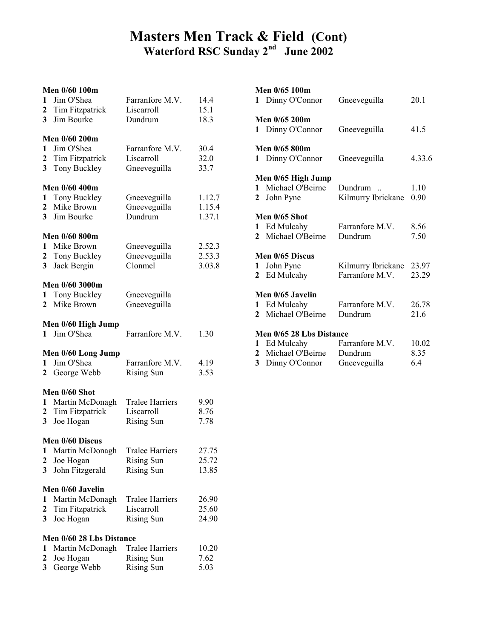## Masters Men Track & Field (Cont) Waterford RSC Sunday 2<sup>nd</sup> June 2002

### Men 0/60 100m

| 1<br>$\boldsymbol{2}$<br>$\overline{\mathbf{3}}$            | IVILII V/VV 1VV.<br>Jim O'Shea<br>Tim Fitzpatrick<br>Jim Bourke         | Farranfore M.V.<br>Liscarroll<br>Dundrum                         | 14.4<br>15.1<br>18.3       |
|-------------------------------------------------------------|-------------------------------------------------------------------------|------------------------------------------------------------------|----------------------------|
| $\mathbf{1}$<br>$\boldsymbol{2}$<br>$\overline{\mathbf{3}}$ | Men 0/60 200m<br>Jim O'Shea<br>Tim Fitzpatrick<br>Tony Buckley          | Farranfore M.V.<br>Liscarroll<br>Gneeveguilla                    | 30.4<br>32.0<br>33.7       |
| $\mathbf{1}$<br>$\overline{2}$<br>3 <sup>1</sup>            | Men 0/60 400m<br>Tony Buckley<br>Mike Brown<br>Jim Bourke               | Gneeveguilla<br>Gneeveguilla<br>Dundrum                          | 1.12.7<br>1.15.4<br>1.37.1 |
| $\mathbf{2}$<br>3                                           | Men 0/60 800m<br>1 Mike Brown<br>Tony Buckley<br>Jack Bergin            | Gneeveguilla<br>Gneeveguilla<br>Clonmel                          | 2.52.3<br>2.53.3<br>3.03.8 |
| $\mathbf{1}$<br>$\mathbf{2}$                                | Men 0/60 3000m<br>Tony Buckley<br>Mike Brown                            | Gneeveguilla<br>Gneeveguilla                                     |                            |
| $\mathbf{1}$                                                | Men 0/60 High Jump<br>Jim O'Shea                                        | Farranfore M.V.                                                  | 1.30                       |
| 1<br>$\mathbf{2}$                                           | Men 0/60 Long Jump<br>Jim O'Shea<br>George Webb                         | Farranfore M.V.<br><b>Rising Sun</b>                             | 4.19<br>3.53               |
| 1<br>$\mathbf{2}$<br>3 <sup>1</sup>                         | Men 0/60 Shot<br>Martin McDonagh<br>Tim Fitzpatrick<br>Joe Hogan        | <b>Tralee Harriers</b><br>Liscarroll<br><b>Rising Sun</b>        | 9.90<br>8.76<br>7.78       |
| $\mathbf{1}$<br>2<br>3                                      | Men 0/60 Discus<br>Martin McDonagh<br>Joe Hogan<br>John Fitzgerald      | <b>Tralee Harriers</b><br><b>Rising Sun</b><br><b>Rising Sun</b> | 27.75<br>25.72<br>13.85    |
| 1<br>$\boldsymbol{2}$<br>3                                  | Men 0/60 Javelin<br>Martin McDonagh<br>Tim Fitzpatrick<br>Joe Hogan     | <b>Tralee Harriers</b><br>Liscarroll<br><b>Rising Sun</b>        | 26.90<br>25.60<br>24.90    |
| 1<br>2<br>$\overline{\mathbf{3}}$                           | Men 0/60 28 Lbs Distance<br>Martin McDonagh<br>Joe Hogan<br>George Webb | <b>Tralee Harriers</b><br><b>Rising Sun</b><br><b>Rising Sun</b> | 10.20<br>7.62<br>5.03      |

### Men 0/65 100m 1 Dinny O'Connor Gneeveguilla 20.1 Men 0/65 200m 1 Dinny O'Connor Gneeveguilla 41.5 Men 0/65 800m 1 Dinny O'Connor Gneeveguilla 4.33.6 Men 0/65 High Jump 1 Michael O'Beirne Dundrum .. 1.10 2 John Pyne Kilmurry Ibrickane 0.90 Men 0/65 Shot<br>1 Ed Mulcahy Farranfore M.V. 8.56 2 Michael O'Beirne Dundrum 7.50 Men 0/65 Discus 1 John Pyne Kilmurry Ibrickane 23.97 2 Ed Mulcahy Farranfore M.V. 23.29 Men 0/65 Javelin 1 Ed Mulcahy Farranfore M.V. 26.78 2 Michael O'Beirne Dundrum 21.6 **Men 0/65 28 Lbs Distance**<br>1 Ed Mulcahy **Farranfore M.V.** 1 Ed Mulcahy Farranfore M.V. 10.02 2 Michael O'Beirne Dundrum 8.35 3 Dinny O'Connor Gneeveguilla 6.4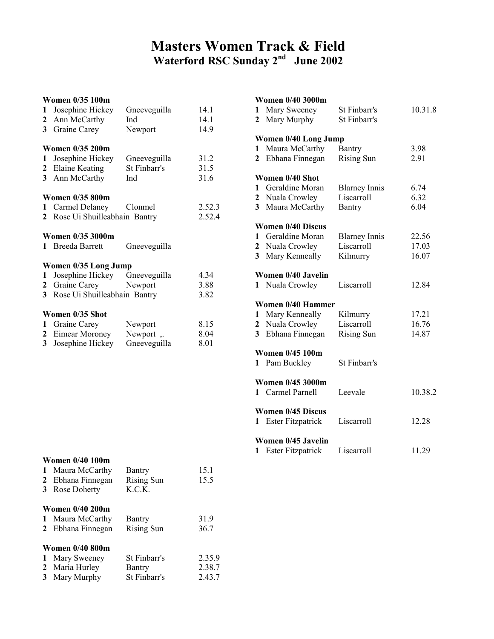## Masters Women Track & Field Waterford RSC Sunday 2nd June 2002

## Women 0/35 100m 1 Josephine Hickey Gneeveguilla 14.1 2 Ann McCarthy Ind 14.1<br>3 Graine Carey Newport 14.9 3 Graine Carey Women 0/35 200m 1 Josephine Hickey Gneeveguilla 31.2 2 Elaine Keating St Finbarr's 31.5 3 Ann McCarthy Ind 31.6 Women 0/35 800m 1 Carmel Delaney Clonmel 2.52.3 2 Rose Ui Shuilleabhain Bantry 2.52.4 Women 0/35 3000m 1 Breeda Barrett Gneeveguilla Women 0/35 Long Jump 1 Josephine Hickey Gneeveguilla 4.34<br>
2 Graine Carey Newport 3.88 2 Graine Carey Newport 3.88 3 Rose Ui Shuilleabhain Bantry 3.82 Women 0/35 Shot 1 Graine Carey Newport 8.15<br>
2 Eimear Moroney Newport , 8.04 2 Eimear Moroney Newport , 3.<br>3. Josephine Hickey Gneeveguilla 3 Josephine Hickey Gneeveguilla 8.01

#### Women 0/40 100m

|              | 1 Maura McCarthy       | Bantry            | 15.1   |
|--------------|------------------------|-------------------|--------|
| $\mathbf{2}$ | Ebhana Finnegan        | Rising Sun        | 15.5   |
| 3            | Rose Doherty           | K.C.K.            |        |
|              | <b>Women 0/40 200m</b> |                   |        |
| 1            | Maura McCarthy         | Bantry            | 31.9   |
|              | 2 Ebhana Finnegan      | <b>Rising Sun</b> | 36.7   |
|              | <b>Women 0/40 800m</b> |                   |        |
| 1            | Mary Sweeney           | St Finbarr's      | 2.35.9 |
|              | 2 Maria Hurley         | Bantry            | 2.38.7 |
| 3            | Mary Murphy            | St Finbarr's      | 2.43.7 |

#### Women 0/40 3000m

| 1<br>$\mathbf{2}$                 | Mary Sweeney<br>Mary Murphy                                                    | St Finbarr's<br>St Finbarr's                        | 10.31.8                 |
|-----------------------------------|--------------------------------------------------------------------------------|-----------------------------------------------------|-------------------------|
| 1<br>$\mathbf{2}$                 | Women 0/40 Long Jump<br>Maura McCarthy<br>Ebhana Finnegan                      | Bantry<br><b>Rising Sun</b>                         | 3.98<br>2.91            |
| 1<br>2<br>$\overline{\mathbf{3}}$ | Women 0/40 Shot<br>Geraldine Moran<br>Nuala Crowley<br>Maura McCarthy          | <b>Blarney Innis</b><br>Liscarroll<br><b>Bantry</b> | 6.74<br>6.32<br>6.04    |
| 1<br>2<br>$\overline{\mathbf{3}}$ | <b>Women 0/40 Discus</b><br>Geraldine Moran<br>Nuala Crowley<br>Mary Kenneally | <b>Blarney Innis</b><br>Liscarroll<br>Kilmurry      | 22.56<br>17.03<br>16.07 |
|                                   | Women 0/40 Javelin<br>1 Nuala Crowley                                          | Liscarroll                                          | 12.84                   |
| 1<br>2<br>3                       | <b>Women 0/40 Hammer</b><br>Mary Kenneally<br>Nuala Crowley<br>Ebhana Finnegan | Kilmurry<br>Liscarroll<br><b>Rising Sun</b>         | 17.21<br>16.76<br>14.87 |
| 1.                                | <b>Women 0/45 100m</b><br>Pam Buckley                                          | St Finbarr's                                        |                         |
|                                   | <b>Women 0/45 3000m</b><br>1 Carmel Parnell                                    | Leevale                                             | 10.38.2                 |
| 1                                 | <b>Women 0/45 Discus</b><br>Ester Fitzpatrick                                  | Liscarroll                                          | 12.28                   |
| 1                                 | Women 0/45 Javelin<br><b>Ester Fitzpatrick</b>                                 | Liscarroll                                          | 11.29                   |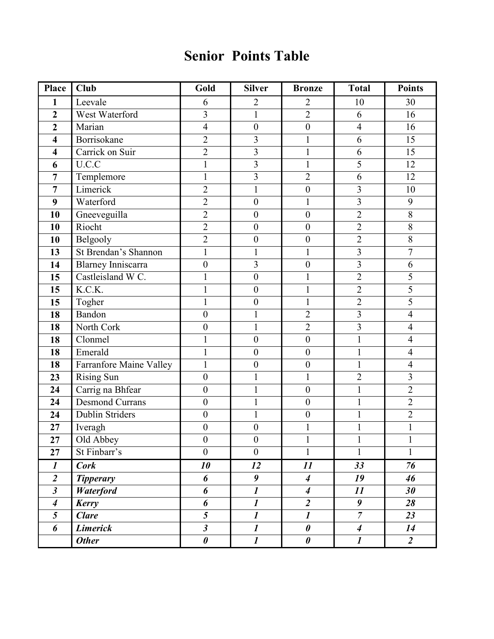# Senior Points Table

| Place                   | Club                      | Gold                        | <b>Silver</b>           | <b>Bronze</b>         | <b>Total</b>            | <b>Points</b>  |
|-------------------------|---------------------------|-----------------------------|-------------------------|-----------------------|-------------------------|----------------|
| 1                       | Leevale                   | 6                           | $\overline{2}$          | $\overline{2}$        | 10                      | 30             |
| $\overline{2}$          | West Waterford            | $\overline{3}$              | $\mathbf{1}$            | $\overline{2}$        | 6                       | 16             |
| $\overline{2}$          | Marian                    | $\overline{4}$              | $\boldsymbol{0}$        | $\boldsymbol{0}$      | $\overline{4}$          | 16             |
| $\overline{\mathbf{4}}$ | Borrisokane               | $\overline{2}$              | 3                       | $\mathbf{1}$          | 6                       | 15             |
| $\overline{\mathbf{4}}$ | Carrick on Suir           | $\overline{2}$              | $\overline{\mathbf{3}}$ | $\mathbf{1}$          | 6                       | 15             |
| 6                       | U.C.C                     |                             | $\overline{\mathbf{3}}$ |                       | 5                       | 12             |
| $\overline{7}$          | Templemore                | $\mathbf{1}$                | $\overline{3}$          | $\overline{2}$        | $\boldsymbol{6}$        | 12             |
| $\overline{7}$          | Limerick                  | $\overline{2}$              | $\mathbf{1}$            | $\boldsymbol{0}$      | $\overline{\mathbf{3}}$ | 10             |
| 9                       | Waterford                 | $\overline{2}$              | $\boldsymbol{0}$        | 1                     | $\overline{3}$          | 9              |
| 10                      | Gneeveguilla              | $\overline{2}$              | $\boldsymbol{0}$        | $\boldsymbol{0}$      | $\overline{c}$          | $8\,$          |
| 10                      | Riocht                    | $\overline{2}$              | $\boldsymbol{0}$        | $\boldsymbol{0}$      | $\overline{2}$          | $\overline{8}$ |
| 10                      | Belgooly                  | $\overline{2}$              | $\boldsymbol{0}$        | $\boldsymbol{0}$      | $\overline{2}$          | $8\,$          |
| 13                      | St Brendan's Shannon      | $\mathbf{1}$                | $\mathbf{1}$            | $\mathbf{1}$          | $\overline{3}$          | $\overline{7}$ |
| 14                      | <b>Blarney Inniscarra</b> | $\boldsymbol{0}$            | $\overline{\mathbf{3}}$ | $\boldsymbol{0}$      | $\overline{\mathbf{3}}$ | 6              |
| 15                      | Castleisland W C.         |                             | $\boldsymbol{0}$        | 1                     | $\overline{2}$          | 5              |
| 15                      | K.C.K.                    | 1                           | $\boldsymbol{0}$        | $\mathbf{1}$          | $\overline{2}$          | $\overline{5}$ |
| 15                      | Togher                    | $\mathbf{1}$                | $\boldsymbol{0}$        | $\mathbf{1}$          | $\overline{2}$          | $\overline{5}$ |
| 18                      | Bandon                    | $\boldsymbol{0}$            | $\mathbf{1}$            | $\overline{2}$        | $\overline{3}$          | $\overline{4}$ |
| 18                      | North Cork                | $\boldsymbol{0}$            | $\mathbf 1$             | $\overline{2}$        | $\overline{\mathbf{3}}$ | $\overline{4}$ |
| 18                      | Clonmel                   | $\mathbf{1}$                | $\boldsymbol{0}$        | $\boldsymbol{0}$      | $\mathbf{1}$            | $\overline{4}$ |
| 18                      | Emerald                   | $\mathbf{1}$                | $\boldsymbol{0}$        | $\boldsymbol{0}$      | $\mathbf{1}$            | $\overline{4}$ |
| 18                      | Farranfore Maine Valley   | $\mathbf{1}$                | $\boldsymbol{0}$        | $\boldsymbol{0}$      | $\mathbf{1}$            | $\overline{4}$ |
| 23                      | <b>Rising Sun</b>         | $\boldsymbol{0}$            | 1                       | $\mathbf{1}$          | $\overline{2}$          | $\overline{3}$ |
| 24                      | Carrig na Bhfear          | $\boldsymbol{0}$            | $\mathbf{1}$            | $\boldsymbol{0}$      | $\mathbbm{1}$           | $\overline{2}$ |
| 24                      | <b>Desmond Currans</b>    | $\boldsymbol{0}$            | $\mathbf{1}$            | $\boldsymbol{0}$      | $\mathbf{1}$            | $\overline{2}$ |
| 24                      | Dublin Striders           | $\boldsymbol{0}$            | $\mathbf{1}$            | $\boldsymbol{0}$      | $\mathbbm{1}$           | $\overline{2}$ |
| 27                      | Iveragh                   | $\boldsymbol{0}$            | $\boldsymbol{0}$        | 1                     | 1                       | $\mathbf 1$    |
| 27                      | Old Abbey                 | $\overline{0}$              | $\boldsymbol{0}$        |                       |                         |                |
| 27                      | St Finbarr's              | $\overline{0}$              | $\boldsymbol{0}$        | $\mathbf{1}$          | $\mathbf{1}$            | $\mathbf{1}$   |
| $\boldsymbol{l}$        | <b>Cork</b>               | 10                          | 12                      | 11                    | 33                      | 76             |
| $\boldsymbol{2}$        | <b>Tipperary</b>          | 6                           | 9                       | $\boldsymbol{4}$      | 19                      | 46             |
| $\overline{\mathbf{3}}$ | Waterford                 | 6                           | $\boldsymbol{l}$        | $\boldsymbol{4}$      | 11                      | 30             |
| $\boldsymbol{4}$        | <b>Kerry</b>              | 6                           | $\boldsymbol{l}$        | $\overline{2}$        | 9                       | 28             |
| 5                       | <b>Clare</b>              | 5                           | $\boldsymbol{l}$        | $\boldsymbol{l}$      | $\overline{7}$          | 23             |
| 6                       | <b>Limerick</b>           | $\boldsymbol{\mathfrak{z}}$ | $\boldsymbol{l}$        | $\boldsymbol{\theta}$ | $\boldsymbol{4}$        | 14             |
|                         | <b>Other</b>              | $\boldsymbol{\theta}$       | $\overline{\mathbf{I}}$ | $\boldsymbol{\theta}$ | $\boldsymbol{l}$        | $\overline{2}$ |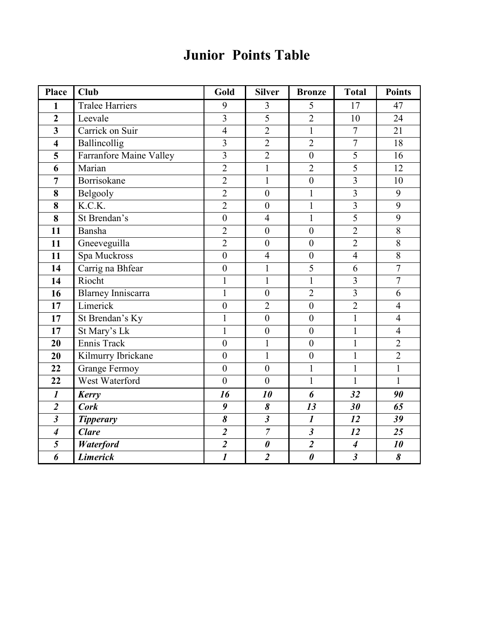# Junior Points Table

| <b>Place</b>                | Club                           | Gold                    | <b>Silver</b>         | <b>Bronze</b>         | <b>Total</b>            | <b>Points</b>  |
|-----------------------------|--------------------------------|-------------------------|-----------------------|-----------------------|-------------------------|----------------|
| $\mathbf{1}$                | <b>Tralee Harriers</b>         | 9                       | 3                     | 5                     | 17                      | 47             |
| $\overline{2}$              | Leevale                        | $\overline{3}$          | $\overline{5}$        | $\overline{2}$        | 10                      | 24             |
| $\overline{\mathbf{3}}$     | Carrick on Suir                | $\overline{4}$          | $\overline{2}$        | $\mathbf{1}$          | $\overline{7}$          | 21             |
| $\overline{\mathbf{4}}$     | Ballincollig                   | $\overline{3}$          | $\overline{2}$        | $\overline{2}$        | $\overline{7}$          | 18             |
| $\overline{\mathbf{5}}$     | <b>Farranfore Maine Valley</b> | $\overline{3}$          | $\overline{2}$        | $\overline{0}$        | $\overline{5}$          | 16             |
| 6                           | Marian                         | $\overline{2}$          | $\mathbf{1}$          | $\overline{2}$        | $\overline{5}$          | 12             |
| $\overline{7}$              | Borrisokane                    | $\overline{2}$          | $\mathbf{1}$          | $\boldsymbol{0}$      | 3                       | 10             |
| 8                           | Belgooly                       | $\overline{2}$          | $\mathbf{0}$          | $\mathbf{1}$          | 3                       | 9              |
| 8                           | K.C.K.                         | $\overline{2}$          | $\boldsymbol{0}$      | $\mathbf{1}$          | $\overline{\mathbf{3}}$ | $\overline{9}$ |
| 8                           | St Brendan's                   | $\overline{0}$          | $\overline{4}$        | $\mathbf{1}$          | $\overline{5}$          | 9              |
| 11                          | Bansha                         | $\overline{2}$          | $\overline{0}$        | $\overline{0}$        | $\overline{2}$          | $\overline{8}$ |
| 11                          | Gneeveguilla                   | $\overline{2}$          | $\overline{0}$        | $\mathbf{0}$          | $\overline{2}$          | 8              |
| 11                          | Spa Muckross                   | $\overline{0}$          | $\overline{4}$        | $\boldsymbol{0}$      | $\overline{4}$          | 8              |
| 14                          | Carrig na Bhfear               | $\boldsymbol{0}$        | $\mathbf{1}$          | $\overline{5}$        | 6                       | $\overline{7}$ |
| 14                          | Riocht                         | $\mathbf{1}$            | $\mathbf{1}$          | $\mathbf{1}$          | $\overline{3}$          | $\overline{7}$ |
| 16                          | Blarney Inniscarra             | $\mathbf{1}$            | $\mathbf{0}$          | $\overline{2}$        | $\overline{3}$          | 6              |
| 17                          | Limerick                       | $\boldsymbol{0}$        | $\overline{2}$        | $\overline{0}$        | $\overline{2}$          | $\overline{4}$ |
| 17                          | St Brendan's Ky                | $\mathbf{1}$            | $\overline{0}$        | $\boldsymbol{0}$      | $\mathbf{1}$            | $\overline{4}$ |
| $\overline{17}$             | St Mary's Lk                   | $\mathbf{1}$            | $\mathbf{0}$          | $\boldsymbol{0}$      | $\mathbf{1}$            | $\overline{4}$ |
| 20                          | Ennis Track                    | $\overline{0}$          | $\mathbf{1}$          | $\boldsymbol{0}$      | $\mathbf 1$             | $\overline{2}$ |
| 20                          | Kilmurry Ibrickane             | $\boldsymbol{0}$        | $\mathbf{1}$          | $\boldsymbol{0}$      | $\mathbf{1}$            | $\overline{2}$ |
| 22                          | <b>Grange Fermoy</b>           | $\boldsymbol{0}$        | $\boldsymbol{0}$      | $\mathbf{1}$          | $\mathbf{1}$            | $\mathbf{1}$   |
| 22                          | West Waterford                 | $\mathbf{0}$            | $\overline{0}$        | $\mathbf{1}$          | $\mathbf{1}$            | $\mathbf{1}$   |
| $\boldsymbol{l}$            | <b>Kerry</b>                   | 16                      | 10                    | 6                     | 32                      | 90             |
| $\overline{2}$              | <b>Cork</b>                    | 9                       | 8                     | 13                    | 30                      | 65             |
| $\overline{\mathbf{3}}$     | <b>Tipperary</b>               | 8                       | $\mathfrak{z}$        | $\boldsymbol{l}$      | 12                      | 39             |
| $\overline{\boldsymbol{4}}$ | <b>Clare</b>                   | $\overline{\mathbf{c}}$ | $\overline{7}$        | $\mathfrak{z}$        | 12                      | 25             |
|                             | Waterford                      | $\overline{2}$          | $\boldsymbol{\theta}$ | $\overline{2}$        | $\boldsymbol{4}$        | 10             |
| 6                           | <b>Limerick</b>                | $\boldsymbol{l}$        | $\overline{2}$        | $\boldsymbol{\theta}$ | $\mathfrak{z}$          | 8              |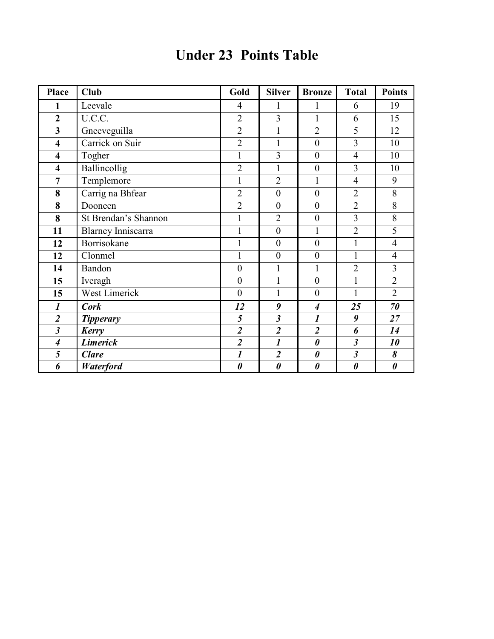| <b>Under 23 Points Table</b> |
|------------------------------|
|------------------------------|

| <b>Place</b>                | <b>Club</b>               | Gold                  | <b>Silver</b>           | <b>Bronze</b>           | <b>Total</b>            | <b>Points</b>         |
|-----------------------------|---------------------------|-----------------------|-------------------------|-------------------------|-------------------------|-----------------------|
| $\mathbf{1}$                | Leevale                   | $\overline{4}$        | 1                       | 1                       | 6                       | 19                    |
| $\overline{2}$              | U.C.C.                    | $\overline{2}$        | 3                       | $\mathbf{1}$            | 6                       | 15                    |
| $\overline{\mathbf{3}}$     | Gneeveguilla              | $\overline{2}$        | $\mathbf{1}$            | $\overline{2}$          | 5                       | 12                    |
| $\overline{\mathbf{4}}$     | Carrick on Suir           | $\overline{2}$        | $\mathbf{1}$            | $\boldsymbol{0}$        | $\overline{3}$          | 10                    |
| $\overline{\mathbf{4}}$     | Togher                    | $\mathbf{1}$          | $\overline{3}$          | $\boldsymbol{0}$        | $\overline{4}$          | 10                    |
| $\overline{\mathbf{4}}$     | <b>Ballincollig</b>       | $\overline{2}$        | $\mathbf{1}$            | $\mathbf{0}$            | $\overline{3}$          | 10                    |
| $\overline{7}$              | Templemore                | $\mathbf{1}$          | $\overline{2}$          | $\mathbf{1}$            | $\overline{4}$          | 9                     |
| 8                           | Carrig na Bhfear          | $\overline{2}$        | $\overline{0}$          | $\overline{0}$          | $\overline{2}$          | 8                     |
| 8                           | Dooneen                   | $\overline{2}$        | $\boldsymbol{0}$        | $\boldsymbol{0}$        | $\overline{2}$          | 8                     |
| 8                           | St Brendan's Shannon      | $\mathbf{1}$          | $\overline{2}$          | $\boldsymbol{0}$        | $\overline{3}$          | 8                     |
| 11                          | <b>Blarney Inniscarra</b> | $\mathbf{1}$          | $\boldsymbol{0}$        | $\mathbf{1}$            | $\overline{2}$          | 5                     |
| 12                          | Borrisokane               | $\mathbf{1}$          | $\boldsymbol{0}$        | $\boldsymbol{0}$        | $\mathbf{1}$            | $\overline{4}$        |
| 12                          | Clonmel                   | $\mathbf 1$           | $\boldsymbol{0}$        | $\boldsymbol{0}$        | $\mathbf{1}$            | $\overline{4}$        |
| 14                          | Bandon                    | $\boldsymbol{0}$      | $\mathbf{1}$            | $\mathbf{1}$            | $\overline{2}$          | 3                     |
| 15                          | Iveragh                   | $\mathbf{0}$          | $\mathbf{1}$            | $\overline{0}$          | $\mathbf{1}$            | $\overline{2}$        |
| 15                          | <b>West Limerick</b>      | $\boldsymbol{0}$      | $\mathbf{1}$            | $\overline{0}$          | $\mathbf{1}$            | $\overline{2}$        |
| $\boldsymbol{l}$            | <b>Cork</b>               | 12                    | 9                       | $\boldsymbol{4}$        | 25                      | 70                    |
| $\overline{2}$              | <b>Tipperary</b>          | 5                     | $\mathfrak{z}$          | $\boldsymbol{l}$        | 9                       | 27                    |
| $\overline{\mathbf{3}}$     | Kerry                     | $\overline{2}$        | $\overline{\mathbf{2}}$ | $\overline{\mathbf{2}}$ | 6                       | 14                    |
| $\overline{\boldsymbol{4}}$ | <b>Limerick</b>           | $\overline{2}$        | $\boldsymbol{l}$        | $\boldsymbol{\theta}$   | $\overline{\mathbf{3}}$ | 10                    |
| 5                           | <b>Clare</b>              | $\boldsymbol{l}$      | $\overline{2}$          | $\boldsymbol{\theta}$   | $\mathfrak{z}$          | 8                     |
| 6                           | Waterford                 | $\boldsymbol{\theta}$ | $\boldsymbol{\theta}$   | $\boldsymbol{\theta}$   | $\boldsymbol{\theta}$   | $\boldsymbol{\theta}$ |